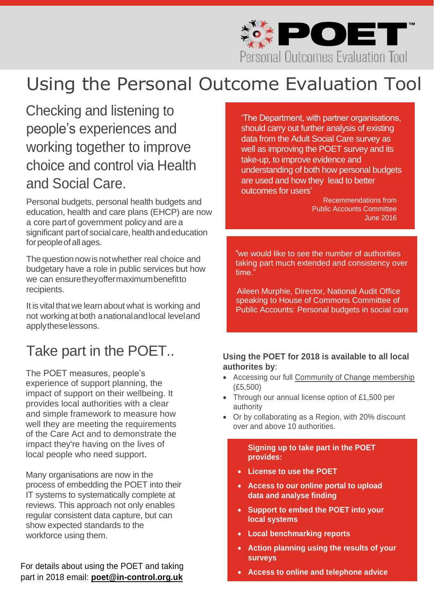

# Using the Personal Outcome Evaluation Tool

### Checking and listening to people's experiences and working together to improve choice and control via Health and Social Care.

Personal budgets, personal health budgets and education, health and care plans (EHCP) are now a core part of government policy and are a significant part of social care, health and education for people of all ages.

The question now is not whether real choice and budgetary have a role in public services but how we can ensurethey offermaximumbenefitto recipients.

It is vital that we learn about what is working and not workingat both anationalandlocal leveland applytheselessons.

### Take part in the POET..

The POET measures, people's experience of support planning, the impact of support on their wellbeing. It provides local authorities with a clear and simple framework to measure how well they are meeting the requirements of the Care Act and to demonstrate the impact they're having on the lives of local people who need support.

Many organisations are now in the process of embedding the POET into their IT systems to systematically complete at reviews. This approach not only enables regular consistent data capture, but can show expected standards to the workforce using them.

For details about using the POET and taking part in 2018 email: **[poet@in-control.org.uk](mailto:poet@in-control.org.uk)**

'The Department, with partner organisations, should carry out further analysis of existing data from the Adult Social Care survey as well as improving the POET survey and its take-up, to improve evidence and understanding of both how personal budgets are used and how they lead to better outcomes for users'

> Recemmendations from Public Accounts Committee June 2016

 "we would like to see the number of authorities taking part much extended and consistency over time."

 Aileen Murphie, Director, National Audit Office speaking to House of Commons Committee of Public Accounts: Personal budgets in social care

#### **Using the POET for 2018 is available to all local authorites by**:

- Accessing our full [Community of Change membership](http://www.in-control.org.uk/what-we-do/community-of-change.aspx) (£5,500)
- Through our annual license option of £1,500 per authority
- Or by collaborating as a Region, with 20% discount over and above 10 authorities.

**Signing up to take part in the POET provides:**

- **License to use the POET**
- **Access to our online portal to upload data and analyse finding**
- **Support to embed the POET into your local systems**
- **Local benchmarking reports**
- **Action planning using the results of your surveys**
- **Access to online and telephone advice**